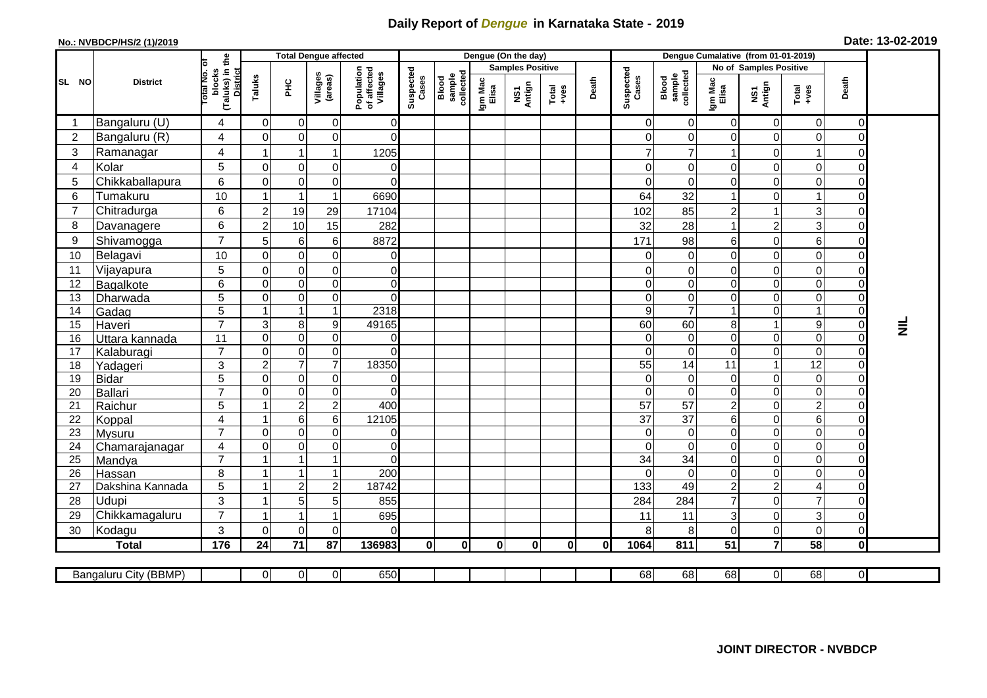## **Daily Report of** *Dengue* **in Karnataka State - 2019**

## **No.: NVBDCP/HS/2 (1)/2019 Date: 13-02-2019**

|                |                            |                                                             | <b>Total Dengue affected</b> |                         |                               |                                       | Dengue (On the day) |                              |                         |                                   |                                                              |       | Dengue Cumalative (from 01-01-2019) |                              |                                 |                                  |                                           |                                  |                 |
|----------------|----------------------------|-------------------------------------------------------------|------------------------------|-------------------------|-------------------------------|---------------------------------------|---------------------|------------------------------|-------------------------|-----------------------------------|--------------------------------------------------------------|-------|-------------------------------------|------------------------------|---------------------------------|----------------------------------|-------------------------------------------|----------------------------------|-----------------|
|                |                            |                                                             |                              |                         |                               |                                       |                     |                              | <b>Samples Positive</b> |                                   |                                                              |       |                                     |                              | No of Samples Positive          |                                  |                                           |                                  |                 |
| SL NO          | <b>District</b>            | (Taluks) in the<br>otal No. or<br>blocks<br><b>District</b> | Taluks                       | PHC                     | Villages<br>(areas)           | Population<br>of affected<br>Villages | Suspected<br>Cases  | sample<br>collected<br>Blood | Igm Mac<br>Elisa        | Antign<br>$\overline{\mathbf{s}}$ | $\begin{array}{c}\n\text{Total} \\ \text{+ves}\n\end{array}$ | Death | Suspected<br>Cases                  | Blood<br>sample<br>collected | Igm Mac<br>Elisa                | NS1<br>Antign                    | $Tota$<br>$+ves$                          | Death                            |                 |
|                | Bangaluru (U)              | 4                                                           | $\Omega$                     | $\Omega$                | $\mathbf 0$                   | $\overline{0}$                        |                     |                              |                         |                                   |                                                              |       | 0                                   | 0                            | $\mathbf 0$                     | $\Omega$                         | $\mathbf 0$                               | $\overline{0}$                   |                 |
| $\overline{2}$ | Bangaluru (R)              | 4                                                           | $\Omega$                     | $\Omega$                | $\mathbf 0$                   | $\Omega$                              |                     |                              |                         |                                   |                                                              |       | 0                                   | $\mathbf 0$                  | $\Omega$                        | $\Omega$                         | 0                                         | $\Omega$                         |                 |
| $\sqrt{3}$     | Ramanagar                  | 4                                                           | -1                           | 1                       | 1                             | 1205                                  |                     |                              |                         |                                   |                                                              |       | $\overline{7}$                      | 7                            |                                 | $\Omega$                         | 1                                         | $\Omega$                         |                 |
| $\overline{4}$ | Kolar                      | 5                                                           | $\Omega$                     | $\overline{0}$          | $\mathbf 0$                   | $\mathbf 0$                           |                     |                              |                         |                                   |                                                              |       | 0                                   | $\mathbf 0$                  | $\mathbf 0$                     | $\overline{0}$                   | $\mathbf 0$                               | 0                                |                 |
| 5              | Chikkaballapura            | 6                                                           | $\Omega$                     | $\Omega$                | $\mathbf 0$                   | $\Omega$                              |                     |                              |                         |                                   |                                                              |       | 0                                   | $\Omega$                     | $\Omega$                        | $\Omega$                         | $\mathbf 0$                               | $\Omega$                         |                 |
| $\,6$          | Tumakuru                   | 10                                                          |                              | $\overline{\mathbf{1}}$ | $\overline{1}$                | 6690                                  |                     |                              |                         |                                   |                                                              |       | 64                                  | 32                           | 1                               | 0                                | $\mathbf{1}$                              | $\Omega$                         |                 |
| $\overline{7}$ | Chitradurga                | 6                                                           | $\overline{2}$               | 19                      | 29                            | 17104                                 |                     |                              |                         |                                   |                                                              |       | 102                                 | 85                           | $\overline{c}$                  |                                  | 3                                         | $\Omega$                         |                 |
| 8              | Davanagere                 | 6                                                           | $\overline{2}$               | 10                      | 15                            | 282                                   |                     |                              |                         |                                   |                                                              |       | 32                                  | 28                           | $\overline{1}$                  | $\overline{2}$                   | 3                                         | 0                                |                 |
| 9              | Shivamogga                 | $\overline{7}$                                              | 5                            | $6 \mid$                | $\,6$                         | 8872                                  |                     |                              |                         |                                   |                                                              |       | 171                                 | 98                           | 6                               | $\mathbf 0$                      | 6                                         | 0                                |                 |
| 10             | Belagavi                   | 10                                                          | $\mathbf 0$                  | $\overline{0}$          | $\boldsymbol{0}$              | $\mathbf 0$                           |                     |                              |                         |                                   |                                                              |       | 0                                   | $\boldsymbol{0}$             | $\boldsymbol{0}$                | $\overline{0}$                   | $\mathsf 0$                               | 0                                |                 |
| 11             | Vijayapura                 | 5                                                           | $\Omega$                     | $\Omega$                | $\mathbf 0$                   | $\mathbf 0$                           |                     |                              |                         |                                   |                                                              |       | 0                                   | 0                            | $\mathbf 0$                     | $\overline{0}$                   | $\mathbf 0$                               | 0                                |                 |
| 12             | Bagalkote                  | 6                                                           | $\mathbf 0$                  | $\overline{0}$          | $\pmb{0}$                     | $\mathbf 0$                           |                     |                              |                         |                                   |                                                              |       | 0                                   | $\mathbf 0$                  | $\boldsymbol{0}$                | $\overline{0}$                   | $\overline{\mathsf{o}}$                   | 0                                |                 |
| 13             | Dharwada                   | 5                                                           | $\Omega$                     | $\Omega$                | $\mathbf 0$                   | $\mathbf 0$                           |                     |                              |                         |                                   |                                                              |       | 0                                   | 0                            | $\Omega$                        | $\Omega$                         | $\mathbf 0$                               | $\Omega$                         |                 |
| 14             | Gadag                      | $\overline{5}$                                              |                              | 1                       | $\mathbf{1}$                  | 2318                                  |                     |                              |                         |                                   |                                                              |       | 9                                   | $\overline{7}$               | $\blacktriangleleft$            | $\mathbf 0$                      | $\mathbf{1}$                              | 0                                |                 |
| 15             | Haveri                     | $\overline{7}$                                              | 3                            | 8 <sup>1</sup>          | 9                             | 49165                                 |                     |                              |                         |                                   |                                                              |       | 60                                  | 60                           | $\bf 8$                         | $\mathbf{1}$                     | $\mathsf g$                               | $\overline{0}$                   | $\bar{\bar{z}}$ |
| 16             | Uttara kannada             | 11                                                          | $\Omega$                     | $\Omega$                | $\mathbf 0$                   | $\overline{0}$                        |                     |                              |                         |                                   |                                                              |       | 0                                   | $\mathbf 0$                  | $\mathbf 0$                     | $\Omega$                         | $\mathbf 0$                               | 0                                |                 |
| 17             | Kalaburagi                 | $\overline{7}$                                              | $\Omega$                     | $\Omega$                | $\mathbf 0$                   | $\Omega$                              |                     |                              |                         |                                   |                                                              |       | 0                                   | $\Omega$                     | $\Omega$                        | $\Omega$                         | $\overline{O}$                            | $\Omega$                         |                 |
| 18             | Yadageri                   | $\mathfrak{S}$                                              | $\overline{2}$               | $\overline{7}$          | $\overline{7}$                | 18350                                 |                     |                              |                         |                                   |                                                              |       | 55                                  | 14                           | 11                              | $\mathbf{1}$                     | 12                                        | 0                                |                 |
| 19             | Bidar                      | 5                                                           | $\Omega$                     | $\overline{0}$          | $\pmb{0}$                     | 0                                     |                     |                              |                         |                                   |                                                              |       | 0                                   | 0                            | $\mathbf 0$                     | $\overline{0}$                   | $\mathbf 0$                               | 0                                |                 |
| 20             | Ballari                    | $\overline{7}$                                              | $\Omega$                     | $\Omega$                | $\mathbf 0$                   | $\Omega$                              |                     |                              |                         |                                   |                                                              |       | $\Omega$                            | $\Omega$                     | $\mathbf 0$                     | $\Omega$                         | $\mathbf 0$                               | 0                                |                 |
| 21             | Raichur                    | 5                                                           | -1                           | $\overline{2}$          | $\boldsymbol{2}$              | 400                                   |                     |                              |                         |                                   |                                                              |       | 57                                  | $\overline{57}$              | $\sqrt{2}$                      | $\overline{0}$                   | $\overline{2}$                            | 0                                |                 |
| 22             | Koppal                     | 4                                                           |                              | 6                       | 6                             | 12105                                 |                     |                              |                         |                                   |                                                              |       | $\overline{37}$                     | $\overline{37}$              | $\,6$                           | $\Omega$                         | 6                                         | 0                                |                 |
| 23             | Mysuru                     | $\overline{7}$                                              | $\Omega$                     | $\overline{0}$          | $\pmb{0}$                     | 0                                     |                     |                              |                         |                                   |                                                              |       | 0                                   | $\boldsymbol{0}$             | $\boldsymbol{0}$                | $\Omega$                         | $\overline{0}$                            | 0                                |                 |
| 24             | Chamarajanagar             | 4<br>$\overline{7}$                                         | $\Omega$<br>1                | $\Omega$<br>1           | $\mathbf 0$<br>$\overline{1}$ | $\mathbf 0$<br>$\Omega$               |                     |                              |                         |                                   |                                                              |       | $\Omega$                            | $\Omega$<br>34               | $\mathbf 0$                     | $\Omega$                         | $\overline{0}$<br>$\overline{\mathsf{o}}$ | $\overline{0}$<br>$\overline{0}$ |                 |
| 25<br>26       | Mandya                     | 8                                                           |                              | 1                       | $\overline{1}$                | 200                                   |                     |                              |                         |                                   |                                                              |       | 34<br>$\Omega$                      | $\mathbf 0$                  | $\boldsymbol{0}$<br>$\mathbf 0$ | $\overline{0}$<br>$\overline{0}$ | $\mathbf 0$                               | 0                                |                 |
| 27             | Hassan<br>Dakshina Kannada | $\overline{5}$                                              | -1                           | 2 <sup>1</sup>          | $\overline{2}$                | 18742                                 |                     |                              |                         |                                   |                                                              |       | 133                                 | 49                           | $\overline{2}$                  | $\overline{2}$                   | $\overline{\mathbf{4}}$                   | 0                                |                 |
| 28             | Udupi                      | $\mathbf{3}$                                                | -1                           | 5 <sup>1</sup>          | 5                             | 855                                   |                     |                              |                         |                                   |                                                              |       | 284                                 | 284                          | $\overline{7}$                  | $\Omega$                         | $\overline{7}$                            | $\Omega$                         |                 |
| 29             | Chikkamagaluru             | $\overline{7}$                                              | -1                           | 1                       | 1                             | 695                                   |                     |                              |                         |                                   |                                                              |       | 11                                  | 11                           | $\sqrt{3}$                      | $\Omega$                         | 3                                         | $\Omega$                         |                 |
| 30             | Kodagu                     | 3                                                           | $\Omega$                     | $\Omega$                | $\mathbf 0$                   | $\Omega$                              |                     |                              |                         |                                   |                                                              |       | 8                                   | 8                            | $\mathbf 0$                     | $\overline{0}$                   | $\pmb{0}$                                 | 0                                |                 |
|                | <b>Total</b>               | 176                                                         | 24                           | $71$                    | 87                            | 136983                                | $\mathbf{0}$        | $\bf{0}$                     | $\bf{0}$                | $\bf{0}$                          | $\mathbf{0}$                                                 | 0     | 1064                                | 811                          | 51                              | $\overline{7}$                   | 58                                        | $\mathbf{0}$                     |                 |
|                |                            |                                                             |                              |                         |                               |                                       |                     |                              |                         |                                   |                                                              |       |                                     |                              |                                 |                                  |                                           |                                  |                 |
|                | Bangaluru City (BBMP)      |                                                             | 0                            | $\overline{0}$          | $\overline{0}$                | 650                                   |                     |                              |                         |                                   |                                                              |       | 68                                  | 68                           | 68                              | $\overline{O}$                   | 68                                        | $\overline{0}$                   |                 |